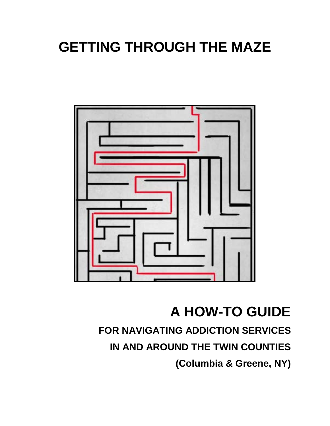# **GETTING THROUGH THE MAZE**



# **A HOW-TO GUIDE**

## **FOR NAVIGATING ADDICTION SERVICES**

**IN AND AROUND THE TWIN COUNTIES**

**(Columbia & Greene, NY)**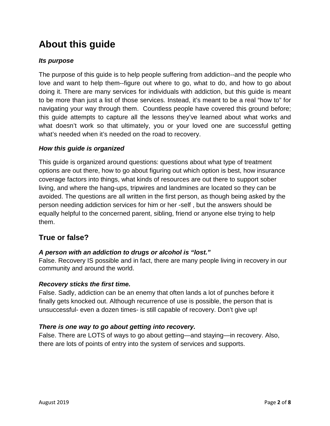### **About this guide**

#### *Its purpose*

The purpose of this guide is to help people suffering from addiction--and the people who love and want to help them--figure out where to go, what to do, and how to go about doing it. There are many services for individuals with addiction, but this guide is meant to be more than just a list of those services. Instead, it's meant to be a real "how to" for navigating your way through them. Countless people have covered this ground before; this guide attempts to capture all the lessons they've learned about what works and what doesn't work so that ultimately, you or your loved one are successful getting what's needed when it's needed on the road to recovery.

#### *How this guide is organized*

This guide is organized around questions: questions about what type of treatment options are out there, how to go about figuring out which option is best, how insurance coverage factors into things, what kinds of resources are out there to support sober living, and where the hang-ups, tripwires and landmines are located so they can be avoided. The questions are all written in the first person, as though being asked by the person needing addiction services for him or her -self , but the answers should be equally helpful to the concerned parent, sibling, friend or anyone else trying to help them.

#### **True or false?**

#### *A person with an addiction to drugs or alcohol is "lost."*

False. Recovery IS possible and in fact, there are many people living in recovery in our community and around the world.

#### *Recovery sticks the first time.*

False. Sadly, addiction can be an enemy that often lands a lot of punches before it finally gets knocked out. Although recurrence of use is possible, the person that is unsuccessful- even a dozen times- is still capable of recovery. Don't give up!

#### *There is one way to go about getting into recovery.*

False. There are LOTS of ways to go about getting—and staying—in recovery. Also, there are lots of points of entry into the system of services and supports.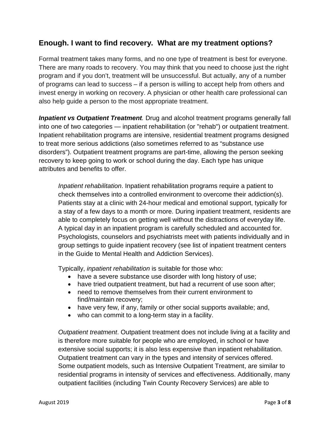#### **Enough. I want to find recovery. What are my treatment options?**

Formal treatment takes many forms, and no one type of treatment is best for everyone. There are many roads to recovery. You may think that you need to choose just the right program and if you don't, treatment will be unsuccessful. But actually, any of a number of programs can lead to success – if a person is willing to accept help from others and invest energy in working on recovery. A physician or other health care professional can also help guide a person to the most appropriate treatment.

*Inpatient vs Outpatient Treatment.* Drug and alcohol treatment programs generally fall into one of two categories — inpatient rehabilitation (or "rehab") or outpatient treatment. Inpatient rehabilitation programs are intensive, residential treatment programs designed to treat more serious addictions (also sometimes referred to as "substance use disorders"). Outpatient treatment programs are part-time, allowing the person seeking recovery to keep going to work or school during the day. Each type has unique attributes and benefits to offer.

*Inpatient rehabilitation*. Inpatient rehabilitation programs require a patient to check themselves into a controlled environment to overcome their addiction(s). Patients stay at a clinic with 24-hour medical and emotional support, typically for a stay of a few days to a month or more. During inpatient treatment, residents are able to completely focus on getting well without the distractions of everyday life. A typical day in an inpatient program is carefully scheduled and accounted for. Psychologists, counselors and psychiatrists meet with patients individually and in group settings to guide inpatient recovery (see list of inpatient treatment centers in the Guide to Mental Health and Addiction Services).

Typically, *inpatient rehabilitation* is suitable for those who:

- have a severe substance use disorder with long history of use;
- have tried outpatient treatment, but had a recurrent of use soon after;
- need to remove themselves from their current environment to find/maintain recovery;
- have very few, if any, family or other social supports available; and,
- who can commit to a long-term stay in a facility.

*Outpatient treatment*. Outpatient treatment does not include living at a facility and is therefore more suitable for people who are employed, in school or have extensive social supports; it is also less expensive than inpatient rehabilitation. Outpatient treatment can vary in the types and intensity of services offered. Some outpatient models, such as Intensive Outpatient Treatment, are similar to residential programs in intensity of services and effectiveness. Additionally, many outpatient facilities (including Twin County Recovery Services) are able to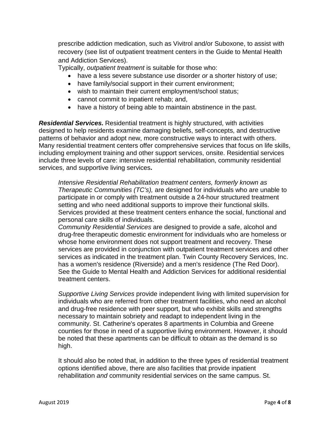prescribe addiction medication, such as Vivitrol and/or Suboxone, to assist with recovery (see list of outpatient treatment centers in the Guide to Mental Health and Addiction Services).

Typically, *outpatient treatment* is suitable for those who:

- have a less severe substance use disorder *or* a shorter history of use;
- have family/social support in their current environment;
- wish to maintain their current employment/school status;
- cannot commit to inpatient rehab; and,
- have a history of being able to maintain abstinence in the past.

*Residential Services.* Residential treatment is highly structured, with activities designed to help residents examine damaging beliefs, self-concepts, and destructive patterns of behavior and adopt new, more constructive ways to interact with others. Many residential treatment centers offer comprehensive services that focus on life skills, including employment training and other support services, onsite. Residential services include three levels of care: intensive residential rehabilitation, community residential services, and supportive living services**.** 

*Intensive Residential Rehabilitation treatment centers, formerly known as Therapeutic Communities (TC's),* are designed for individuals who are unable to participate in or comply with treatment outside a 24-hour structured treatment setting and who need additional supports to improve their functional skills. Services provided at these treatment centers enhance the social, functional and personal care skills of individuals.

*Community Residential Services* are designed to provide a safe, alcohol and drug-free therapeutic domestic environment for individuals who are homeless or whose home environment does not support treatment and recovery. These services are provided in conjunction with outpatient treatment services and other services as indicated in the treatment plan. Twin County Recovery Services, Inc. has a women's residence (Riverside) and a men's residence (The Red Door). See the Guide to Mental Health and Addiction Services for additional residential treatment centers.

*Supportive Living Services* provide independent living with limited supervision for individuals who are referred from other treatment facilities, who need an alcohol and drug-free residence with peer support, but who exhibit skills and strengths necessary to maintain sobriety and readapt to independent living in the community. St. Catherine's operates 8 apartments in Columbia and Greene counties for those in need of a supportive living environment. However, it should be noted that these apartments can be difficult to obtain as the demand is so high.

It should also be noted that, in addition to the three types of residential treatment options identified above, there are also facilities that provide inpatient rehabilitation *and* community residential services on the same campus. St.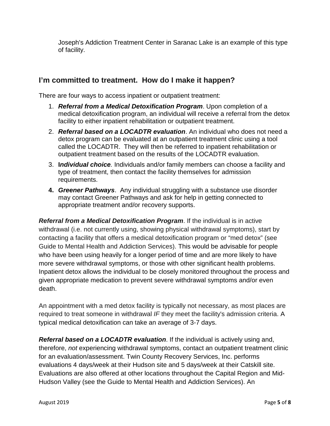Joseph's Addiction Treatment Center in Saranac Lake is an example of this type of facility.

#### **I'm committed to treatment. How do I make it happen?**

There are four ways to access inpatient or outpatient treatment:

- 1. *Referral from a Medical Detoxification Program*. Upon completion of a medical detoxification program, an individual will receive a referral from the detox facility to either inpatient rehabilitation or outpatient treatment.
- 2. *Referral based on a LOCADTR evaluation*. An individual who does not need a detox program can be evaluated at an outpatient treatment clinic using a tool called the LOCADTR. They will then be referred to inpatient rehabilitation or outpatient treatment based on the results of the LOCADTR evaluation.
- 3. **I***ndividual choice.* Individuals and/or family members can choose a facility and type of treatment, then contact the facility themselves for admission requirements.
- **4.** *Greener Pathways*. Any individual struggling with a substance use disorder may contact Greener Pathways and ask for help in getting connected to appropriate treatment and/or recovery supports.

*Referral from a Medical Detoxification Program*. If the individual is in active withdrawal (i.e. not currently using, showing physical withdrawal symptoms), start by contacting a facility that offers a medical detoxification program or "med detox" (see Guide to Mental Health and Addiction Services). This would be advisable for people who have been using heavily for a longer period of time and are more likely to have more severe withdrawal symptoms, or those with other significant health problems. Inpatient detox allows the individual to be closely monitored throughout the process and given appropriate medication to prevent severe withdrawal symptoms and/or even death.

An appointment with a med detox facility is typically not necessary, as most places are required to treat someone in withdrawal *IF* they meet the facility's admission criteria. A typical medical detoxification can take an average of 3-7 days.

*Referral based on a LOCADTR evaluation*. If the individual is actively using and, therefore, *not* experiencing withdrawal symptoms, contact an outpatient treatment clinic for an evaluation/assessment. Twin County Recovery Services, Inc. performs evaluations 4 days/week at their Hudson site and 5 days/week at their Catskill site. Evaluations are also offered at other locations throughout the Capital Region and Mid-Hudson Valley (see the Guide to Mental Health and Addiction Services). An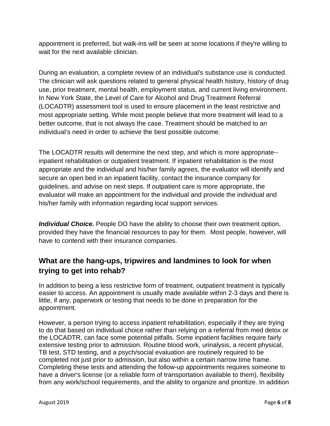appointment is preferred, but walk-ins will be seen at some locations if they're willing to wait for the next available clinician.

During an evaluation, a complete review of an individual's substance use is conducted. The clinician will ask questions related to general physical health history, history of drug use, prior treatment, mental health, employment status, and current living environment. In New York State, the Level of Care for Alcohol and Drug Treatment Referral (LOCADTR) assessment tool is used to ensure placement in the least restrictive and most appropriate setting. While most people believe that more treatment will lead to a better outcome, that is not always the case. Treatment should be matched to an individual's need in order to achieve the best possible outcome.

The LOCADTR results will determine the next step, and which is more appropriate- inpatient rehabilitation or outpatient treatment. If inpatient rehabilitation is the most appropriate and the individual and his/her family agrees, the evaluator will identify and secure an open bed in an inpatient facility, contact the insurance company for guidelines, and advise on next steps. If outpatient care is more appropriate, the evaluator will make an appointment for the individual and provide the individual and his/her family with information regarding local support services.

*Individual Choice.* People DO have the ability to choose their own treatment option, provided they have the financial resources to pay for them. Most people, however, will have to contend with their insurance companies.

#### **What are the hang-ups, tripwires and landmines to look for when trying to get into rehab?**

In addition to being a less restrictive form of treatment, outpatient treatment is typically easier to access. An appointment is usually made available within 2-3 days and there is little, if any, paperwork or testing that needs to be done in preparation for the appointment.

However, a person trying to access inpatient rehabilitation, especially if they are trying to do that based on individual choice rather than relying on a referral from med detox or the LOCADTR, can face some potential pitfalls. Some inpatient facilities require fairly extensive testing prior to admission. Routine blood work, urinalysis, a recent physical, TB test, STD testing, and a psych/social evaluation are routinely required to be completed not just prior to admission, but also within a certain narrow time frame. Completing these tests and attending the follow-up appointments requires someone to have a driver's license (or a reliable form of transportation available to them), flexibility from any work/school requirements, and the ability to organize and prioritize. In addition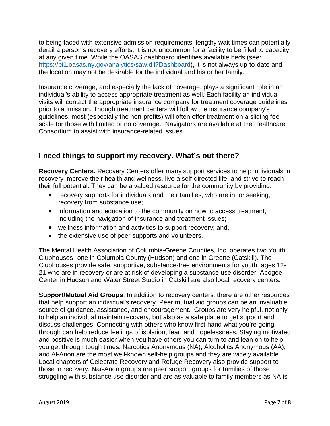to being faced with extensive admission requirements, lengthy wait times can potentially derail a person's recovery efforts. It is not uncommon for a facility to be filled to capacity at any given time. While the OASAS dashboard identifies available beds (see: [https://bi1.oasas.ny.gov/analytics/saw.dll?Dashboard\)](https://bi1.oasas.ny.gov/analytics/saw.dll?Dashboard), it is not always up-to-date and the location may not be desirable for the individual and his or her family.

Insurance coverage, and especially the lack of coverage, plays a significant role in an individual's ability to access appropriate treatment as well. Each facility an individual visits will contact the appropriate insurance company for treatment coverage guidelines prior to admission. Though treatment centers will follow the insurance company's guidelines, most (especially the non-profits) will often offer treatment on a sliding fee scale for those with limited or no coverage. Navigators are available at the Healthcare Consortium to assist with insurance-related issues.

#### **I need things to support my recovery. What's out there?**

**Recovery Centers.** Recovery Centers offer many support services to help individuals in recovery improve their health and wellness, live a self-directed life, and strive to reach their full potential. They can be a valued resource for the community by providing:

- recovery supports for individuals and their families, who are in, or seeking, recovery from substance use;
- information and education to the community on how to access treatment, including the navigation of insurance and treatment issues;
- wellness information and activities to support recovery; and,
- the extensive use of peer supports and volunteers.

The Mental Health Association of Columbia-Greene Counties, Inc. operates two Youth Clubhouses--one in Columbia County (Hudson) and one in Greene (Catskill). The Clubhouses provide safe, supportive, substance-free environments for youth ages 12- 21 who are in recovery or are at risk of developing a substance use disorder. Apogee Center in Hudson and Water Street Studio in Catskill are also local recovery centers.

**Support/Mutual Aid Groups**. In addition to recovery centers, there are other resources that help support an individual's recovery. Peer mutual aid groups can be an invaluable source of guidance, assistance, and encouragement. Groups are very helpful, not only to help an individual maintain recovery, but also as a safe place to get support and discuss challenges. Connecting with others who know first-hand what you're going through can help reduce feelings of isolation, fear, and hopelessness. Staying motivated and positive is much easier when you have others you can turn to and lean on to help you get through tough times. Narcotics Anonymous (NA), Alcoholics Anonymous (AA), and Al-Anon are the most well-known self-help groups and they are widely available. Local chapters of Celebrate Recovery and Refuge Recovery also provide support to those in recovery. Nar-Anon groups are peer support groups for families of those struggling with substance use disorder and are as valuable to family members as NA is